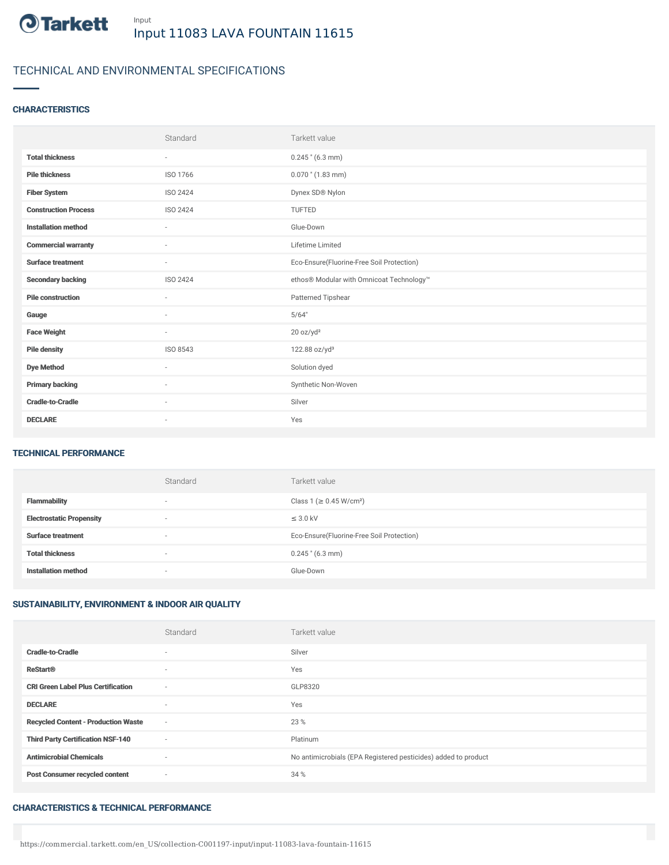

# TECHNICAL AND ENVIRONMENTAL SPECIFICATIONS

### **CHARACTERISTICS**

|                             | Standard                 | Tarkett value                             |
|-----------------------------|--------------------------|-------------------------------------------|
| <b>Total thickness</b>      | $\overline{\phantom{a}}$ | $0.245$ " (6.3 mm)                        |
| <b>Pile thickness</b>       | ISO 1766                 | $0.070$ " $(1.83$ mm)                     |
| <b>Fiber System</b>         | <b>ISO 2424</b>          | Dynex SD® Nylon                           |
| <b>Construction Process</b> | ISO 2424                 | TUFTED                                    |
| <b>Installation method</b>  | $\bar{ }$                | Glue-Down                                 |
| <b>Commercial warranty</b>  | $\sim$                   | Lifetime Limited                          |
| <b>Surface treatment</b>    | $\sim$                   | Eco-Ensure(Fluorine-Free Soil Protection) |
| <b>Secondary backing</b>    | ISO 2424                 | ethos® Modular with Omnicoat Technology™  |
| <b>Pile construction</b>    | $\sim$                   | Patterned Tipshear                        |
| Gauge                       | $\sim$                   | 5/64"                                     |
| <b>Face Weight</b>          | $\sim$                   | 20 oz/yd <sup>2</sup>                     |
| <b>Pile density</b>         | ISO 8543                 | 122.88 oz/yd <sup>3</sup>                 |
| <b>Dye Method</b>           | $\sim$                   | Solution dyed                             |
| <b>Primary backing</b>      | $\sim$                   | Synthetic Non-Woven                       |
| <b>Cradle-to-Cradle</b>     | $\sim$                   | Silver                                    |
| <b>DECLARE</b>              | $\overline{\phantom{a}}$ | Yes                                       |

## TECHNICAL PERFORMANCE

|                                 | Standard                 | Tarkett value                             |
|---------------------------------|--------------------------|-------------------------------------------|
| <b>Flammability</b>             | $\overline{\phantom{a}}$ | Class 1 (≥ 0.45 W/cm <sup>2</sup> )       |
| <b>Electrostatic Propensity</b> | $\overline{\phantom{a}}$ | $\leq$ 3.0 kV                             |
| <b>Surface treatment</b>        | $\overline{\phantom{a}}$ | Eco-Ensure(Fluorine-Free Soil Protection) |
| <b>Total thickness</b>          | $\overline{\phantom{a}}$ | $0.245$ " (6.3 mm)                        |
| <b>Installation method</b>      | $\overline{\phantom{a}}$ | Glue-Down                                 |

#### SUSTAINABILITY, ENVIRONMENT & INDOOR AIR QUALITY

|                                            | Standard                 | Tarkett value                                                  |
|--------------------------------------------|--------------------------|----------------------------------------------------------------|
| <b>Cradle-to-Cradle</b>                    | $\overline{\phantom{a}}$ | Silver                                                         |
| <b>ReStart®</b>                            | $\sim$                   | Yes                                                            |
| <b>CRI Green Label Plus Certification</b>  | $\sim$                   | GLP8320                                                        |
| <b>DECLARE</b>                             | $\sim$                   | Yes                                                            |
| <b>Recycled Content - Production Waste</b> | $\sim$                   | 23 %                                                           |
| <b>Third Party Certification NSF-140</b>   | $\sim$                   | Platinum                                                       |
| <b>Antimicrobial Chemicals</b>             | $\sim$                   | No antimicrobials (EPA Registered pesticides) added to product |
| <b>Post Consumer recycled content</b>      | $\sim$                   | 34 %                                                           |

#### CHARACTERISTICS & TECHNICAL PERFORMANCE